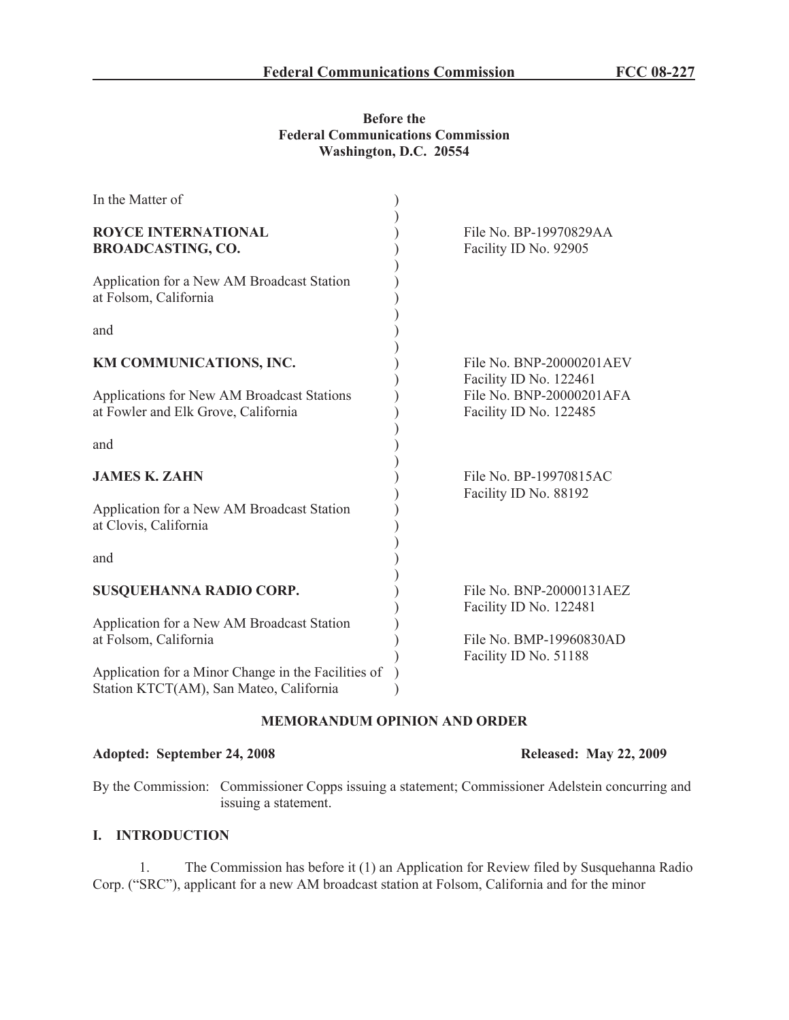### **Before the Federal Communications Commission Washington, D.C. 20554**

| In the Matter of                                                                  |                                                                              |
|-----------------------------------------------------------------------------------|------------------------------------------------------------------------------|
| <b>ROYCE INTERNATIONAL</b><br><b>BROADCASTING, CO.</b>                            | File No. BP-19970829AA<br>Facility ID No. 92905                              |
| Application for a New AM Broadcast Station<br>at Folsom, California               |                                                                              |
| and                                                                               |                                                                              |
| KM COMMUNICATIONS, INC.                                                           | File No. BNP-20000201AEV                                                     |
| Applications for New AM Broadcast Stations<br>at Fowler and Elk Grove, California | Facility ID No. 122461<br>File No. BNP-20000201AFA<br>Facility ID No. 122485 |
| and                                                                               |                                                                              |
| <b>JAMES K. ZAHN</b>                                                              | File No. BP-19970815AC                                                       |
| Application for a New AM Broadcast Station<br>at Clovis, California               | Facility ID No. 88192                                                        |
| and                                                                               |                                                                              |
| SUSQUEHANNA RADIO CORP.                                                           | File No. BNP-20000131AEZ<br>Facility ID No. 122481                           |
| Application for a New AM Broadcast Station                                        |                                                                              |
| at Folsom, California                                                             | File No. BMP-19960830AD<br>Facility ID No. 51188                             |
| Application for a Minor Change in the Facilities of                               |                                                                              |
| Station KTCT(AM), San Mateo, California                                           |                                                                              |

## **MEMORANDUM OPINION AND ORDER**

#### **Adopted: September 24, 2008 Released: May 22, 2009**

By the Commission: Commissioner Copps issuing a statement; Commissioner Adelstein concurring and issuing a statement.

# **I. INTRODUCTION**

1. The Commission has before it (1) an Application for Review filed by Susquehanna Radio Corp. ("SRC"), applicant for a new AM broadcast station at Folsom, California and for the minor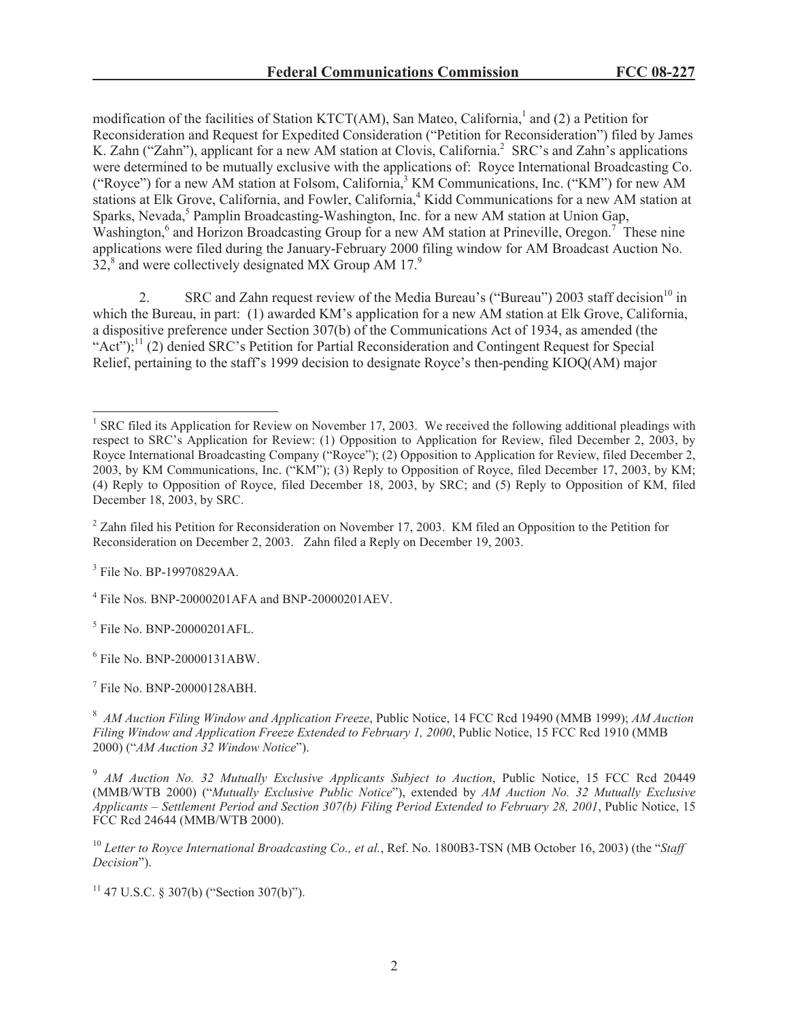modification of the facilities of Station KTCT(AM), San Mateo, California,<sup>1</sup> and (2) a Petition for Reconsideration and Request for Expedited Consideration ("Petition for Reconsideration") filed by James K. Zahn ("Zahn"), applicant for a new AM station at Clovis, California.<sup>2</sup> SRC's and Zahn's applications were determined to be mutually exclusive with the applications of: Royce International Broadcasting Co. ("Royce") for a new AM station at Folsom, California,<sup>3</sup> KM Communications, Inc. ("KM") for new AM stations at Elk Grove, California, and Fowler, California,<sup>4</sup> Kidd Communications for a new AM station at Sparks, Nevada,<sup>5</sup> Pamplin Broadcasting-Washington, Inc. for a new AM station at Union Gap, Washington,<sup>6</sup> and Horizon Broadcasting Group for a new AM station at Prineville, Oregon.<sup>7</sup> These nine applications were filed during the January-February 2000 filing window for AM Broadcast Auction No.  $32<sub>1</sub><sup>8</sup>$  and were collectively designated MX Group AM 17.<sup>9</sup>

2. SRC and Zahn request review of the Media Bureau's ("Bureau") 2003 staff decision<sup>10</sup> in which the Bureau, in part: (1) awarded KM's application for a new AM station at Elk Grove, California, a dispositive preference under Section 307(b) of the Communications Act of 1934, as amended (the "Act");<sup>11</sup> (2) denied SRC's Petition for Partial Reconsideration and Contingent Request for Special Relief, pertaining to the staff's 1999 decision to designate Royce's then-pending KIOQ(AM) major

<sup>2</sup> Zahn filed his Petition for Reconsideration on November 17, 2003. KM filed an Opposition to the Petition for Reconsideration on December 2, 2003. Zahn filed a Reply on December 19, 2003.

<sup>3</sup> File No. BP-19970829AA.

<sup>4</sup> File Nos. BNP-20000201AFA and BNP-20000201AEV.

5 File No. BNP-20000201AFL.

6 File No. BNP-20000131ABW.

7 File No. BNP-20000128ABH.

 $11$  47 U.S.C. § 307(b) ("Section 307(b)").

<sup>&</sup>lt;sup>1</sup> SRC filed its Application for Review on November 17, 2003. We received the following additional pleadings with respect to SRC's Application for Review: (1) Opposition to Application for Review, filed December 2, 2003, by Royce International Broadcasting Company ("Royce"); (2) Opposition to Application for Review, filed December 2, 2003, by KM Communications, Inc. ("KM"); (3) Reply to Opposition of Royce, filed December 17, 2003, by KM; (4) Reply to Opposition of Royce, filed December 18, 2003, by SRC; and (5) Reply to Opposition of KM, filed December 18, 2003, by SRC.

<sup>8</sup> *AM Auction Filing Window and Application Freeze*, Public Notice, 14 FCC Rcd 19490 (MMB 1999); *AM Auction Filing Window and Application Freeze Extended to February 1, 2000*, Public Notice, 15 FCC Rcd 1910 (MMB 2000) ("*AM Auction 32 Window Notice*").

<sup>9</sup> *AM Auction No. 32 Mutually Exclusive Applicants Subject to Auction*, Public Notice, 15 FCC Rcd 20449 (MMB/WTB 2000) ("*Mutually Exclusive Public Notice*"), extended by *AM Auction No. 32 Mutually Exclusive Applicants – Settlement Period and Section 307(b) Filing Period Extended to February 28, 2001*, Public Notice, 15 FCC Rcd 24644 (MMB/WTB 2000).

<sup>10</sup> *Letter to Royce International Broadcasting Co., et al.*, Ref. No. 1800B3-TSN (MB October 16, 2003) (the "*Staff Decision*").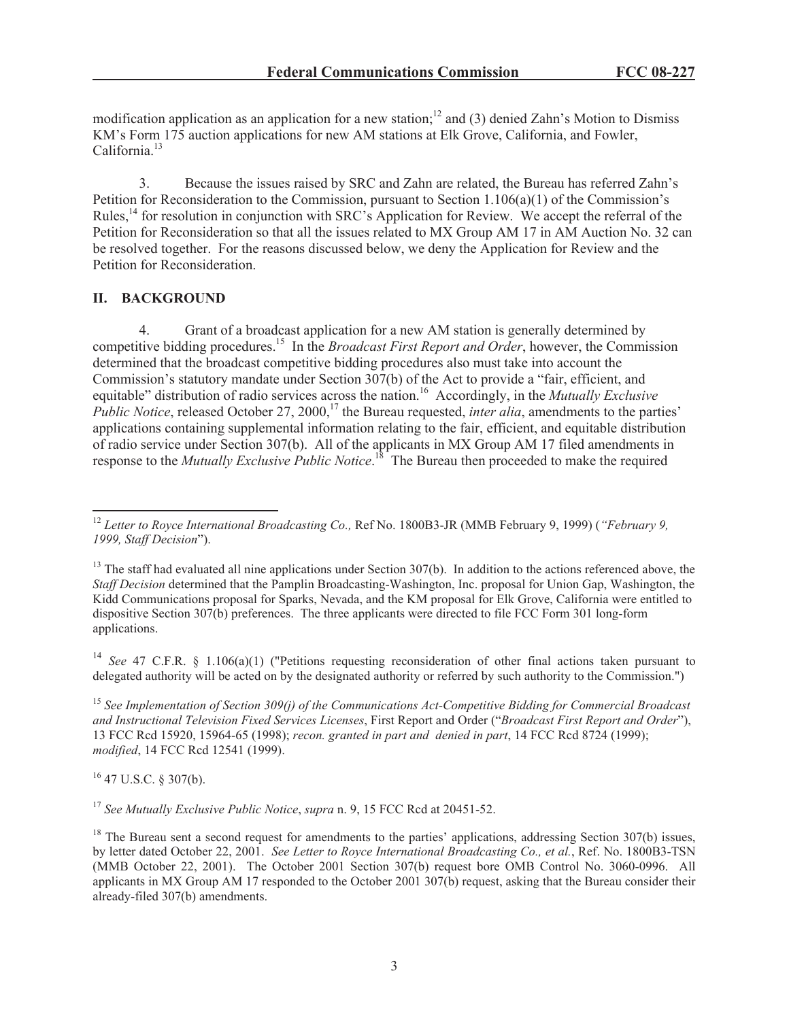modification application as an application for a new station;<sup>12</sup> and (3) denied Zahn's Motion to Dismiss KM's Form 175 auction applications for new AM stations at Elk Grove, California, and Fowler, California.<sup>13</sup>

3. Because the issues raised by SRC and Zahn are related, the Bureau has referred Zahn's Petition for Reconsideration to the Commission, pursuant to Section 1.106(a)(1) of the Commission's Rules,<sup>14</sup> for resolution in conjunction with SRC's Application for Review. We accept the referral of the Petition for Reconsideration so that all the issues related to MX Group AM 17 in AM Auction No. 32 can be resolved together. For the reasons discussed below, we deny the Application for Review and the Petition for Reconsideration.

# **II. BACKGROUND**

4. Grant of a broadcast application for a new AM station is generally determined by competitive bidding procedures.<sup>15</sup> In the *Broadcast First Report and Order*, however, the Commission determined that the broadcast competitive bidding procedures also must take into account the Commission's statutory mandate under Section 307(b) of the Act to provide a "fair, efficient, and equitable" distribution of radio services across the nation.<sup>16</sup> Accordingly, in the *Mutually Exclusive Public Notice*, released October 27, 2000,<sup>17</sup> the Bureau requested, *inter alia*, amendments to the parties' applications containing supplemental information relating to the fair, efficient, and equitable distribution of radio service under Section 307(b). All of the applicants in MX Group AM 17 filed amendments in response to the *Mutually Exclusive Public Notice*.<sup>18</sup> The Bureau then proceeded to make the required

<sup>14</sup> *See* 47 C.F.R. § 1.106(a)(1) ("Petitions requesting reconsideration of other final actions taken pursuant to delegated authority will be acted on by the designated authority or referred by such authority to the Commission.")

<sup>15</sup> *See Implementation of Section 309(j) of the Communications Act-Competitive Bidding for Commercial Broadcast and Instructional Television Fixed Services Licenses*, First Report and Order ("*Broadcast First Report and Order*"), 13 FCC Rcd 15920, 15964-65 (1998); *recon. granted in part and denied in part*, 14 FCC Rcd 8724 (1999); *modified*, 14 FCC Rcd 12541 (1999).

 $16$  47 U.S.C. § 307(b).

<sup>17</sup> *See Mutually Exclusive Public Notice*, *supra* n. 9, 15 FCC Rcd at 20451-52.

<sup>12</sup> *Letter to Royce International Broadcasting Co.,* Ref No. 1800B3-JR (MMB February 9, 1999) (*"February 9, 1999, Staff Decision*").

 $13$  The staff had evaluated all nine applications under Section 307(b). In addition to the actions referenced above, the *Staff Decision* determined that the Pamplin Broadcasting-Washington, Inc. proposal for Union Gap, Washington, the Kidd Communications proposal for Sparks, Nevada, and the KM proposal for Elk Grove, California were entitled to dispositive Section 307(b) preferences. The three applicants were directed to file FCC Form 301 long-form applications.

 $18$  The Bureau sent a second request for amendments to the parties' applications, addressing Section 307(b) issues, by letter dated October 22, 2001. *See Letter to Royce International Broadcasting Co., et al.*, Ref. No. 1800B3-TSN (MMB October 22, 2001). The October 2001 Section 307(b) request bore OMB Control No. 3060-0996. All applicants in MX Group AM 17 responded to the October 2001 307(b) request, asking that the Bureau consider their already-filed 307(b) amendments.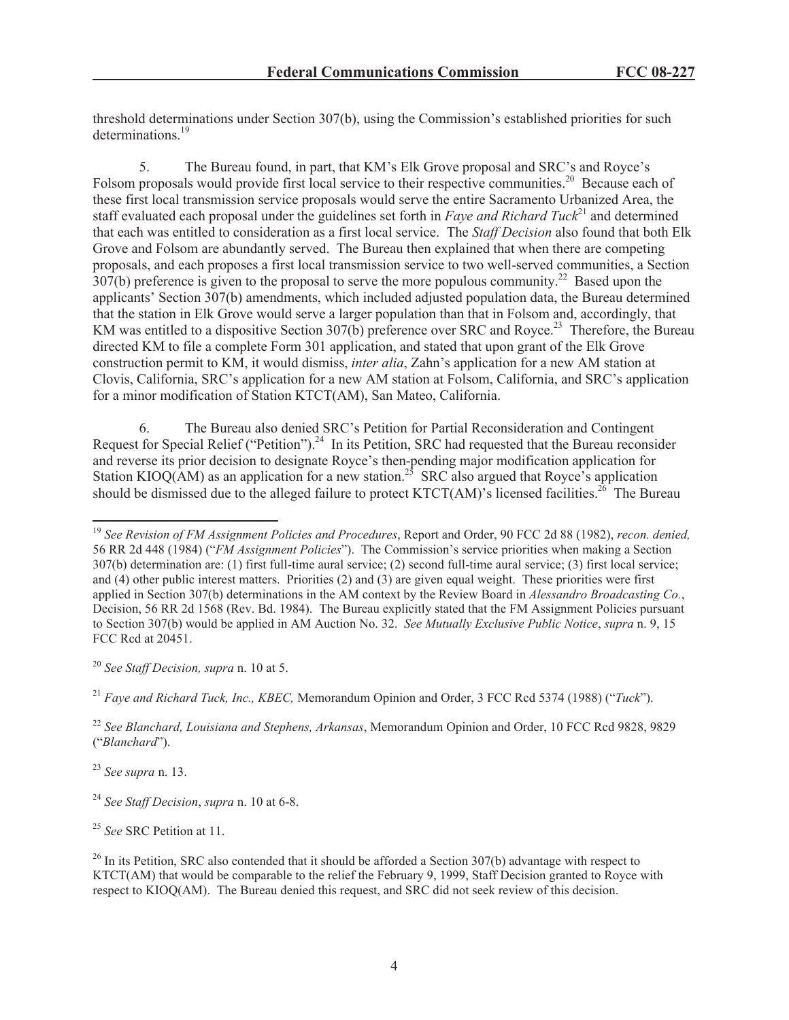threshold determinations under Section 307(b), using the Commission's established priorities for such determinations.<sup>19</sup>

5. The Bureau found, in part, that KM's Elk Grove proposal and SRC's and Royce's Folsom proposals would provide first local service to their respective communities.<sup>20</sup> Because each of these first local transmission service proposals would serve the entire Sacramento Urbanized Area, the staff evaluated each proposal under the guidelines set forth in *Faye and Richard Tuck*<sup>21</sup> and determined that each was entitled to consideration as a first local service. The *Staff Decision* also found that both Elk Grove and Folsom are abundantly served. The Bureau then explained that when there are competing proposals, and each proposes a first local transmission service to two well-served communities, a Section  $307(b)$  preference is given to the proposal to serve the more populous community.<sup>22</sup> Based upon the applicants' Section 307(b) amendments, which included adjusted population data, the Bureau determined that the station in Elk Grove would serve a larger population than that in Folsom and, accordingly, that KM was entitled to a dispositive Section 307(b) preference over SRC and Royce.<sup>23</sup> Therefore, the Bureau directed KM to file a complete Form 301 application, and stated that upon grant of the Elk Grove construction permit to KM, it would dismiss, *inter alia*, Zahn's application for a new AM station at Clovis, California, SRC's application for a new AM station at Folsom, California, and SRC's application for a minor modification of Station KTCT(AM), San Mateo, California.

6. The Bureau also denied SRC's Petition for Partial Reconsideration and Contingent Request for Special Relief ("Petition").<sup>24</sup> In its Petition, SRC had requested that the Bureau reconsider and reverse its prior decision to designate Royce's then-pending major modification application for Station KIOQ(AM) as an application for a new station.<sup>25</sup> SRC also argued that Royce's application should be dismissed due to the alleged failure to protect  $KTCT(AM)$ 's licensed facilities.<sup>26</sup> The Bureau

<sup>20</sup> *See Staff Decision, supra* n. 10 at 5.

<sup>21</sup> *Faye and Richard Tuck, Inc., KBEC,* Memorandum Opinion and Order, 3 FCC Rcd 5374 (1988) ("*Tuck*").

<sup>22</sup> *See Blanchard, Louisiana and Stephens, Arkansas*, Memorandum Opinion and Order, 10 FCC Rcd 9828, 9829 ("*Blanchard*").

<sup>23</sup> *See supra* n. 13.

<sup>25</sup> *See* SRC Petition at 11.

<sup>19</sup> *See Revision of FM Assignment Policies and Procedures*, Report and Order, 90 FCC 2d 88 (1982), *recon. denied,* 56 RR 2d 448 (1984) ("*FM Assignment Policies*"). The Commission's service priorities when making a Section 307(b) determination are: (1) first full-time aural service; (2) second full-time aural service; (3) first local service; and (4) other public interest matters. Priorities (2) and (3) are given equal weight. These priorities were first applied in Section 307(b) determinations in the AM context by the Review Board in *Alessandro Broadcasting Co.*, Decision, 56 RR 2d 1568 (Rev. Bd. 1984). The Bureau explicitly stated that the FM Assignment Policies pursuant to Section 307(b) would be applied in AM Auction No. 32. *See Mutually Exclusive Public Notice*, *supra* n. 9, 15 FCC Rcd at 20451.

<sup>24</sup> *See Staff Decision*, *supra* n. 10 at 6-8.

 $^{26}$  In its Petition, SRC also contended that it should be afforded a Section 307(b) advantage with respect to KTCT(AM) that would be comparable to the relief the February 9, 1999, Staff Decision granted to Royce with respect to KIOQ(AM). The Bureau denied this request, and SRC did not seek review of this decision.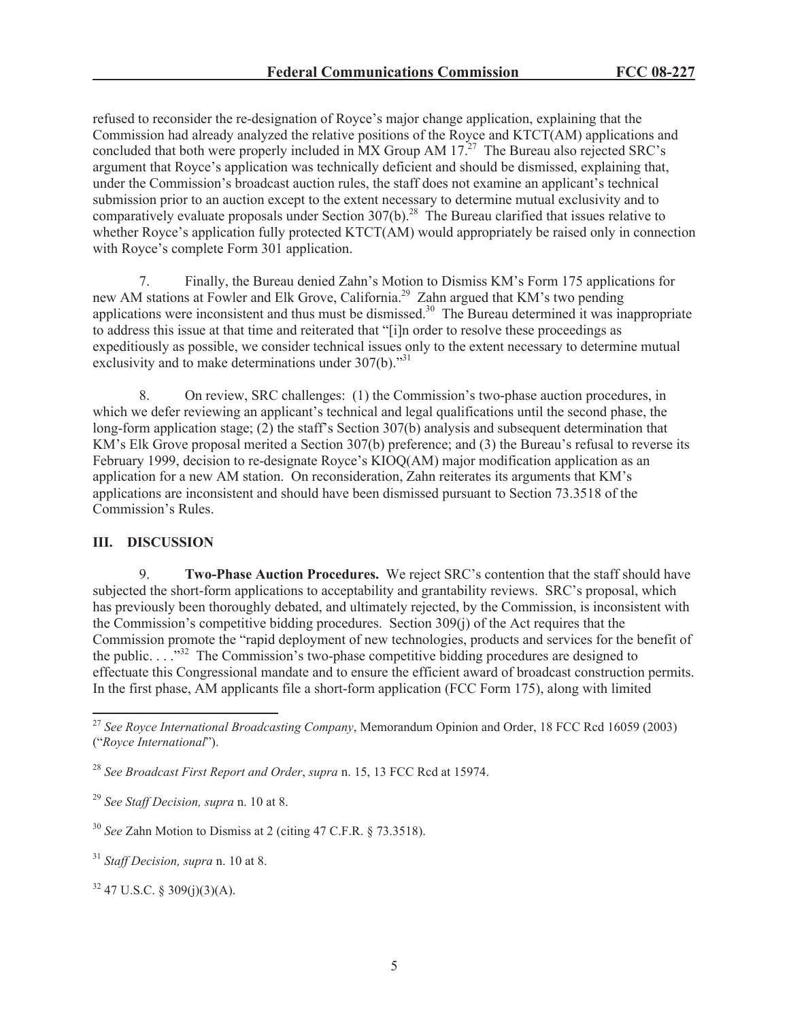refused to reconsider the re-designation of Royce's major change application, explaining that the Commission had already analyzed the relative positions of the Royce and KTCT(AM) applications and concluded that both were properly included in  $MX$  Group AM  $17<sup>27</sup>$  The Bureau also rejected SRC's argument that Royce's application was technically deficient and should be dismissed, explaining that, under the Commission's broadcast auction rules, the staff does not examine an applicant's technical submission prior to an auction except to the extent necessary to determine mutual exclusivity and to comparatively evaluate proposals under Section 307(b).<sup>28</sup> The Bureau clarified that issues relative to whether Royce's application fully protected KTCT(AM) would appropriately be raised only in connection with Royce's complete Form 301 application.

7. Finally, the Bureau denied Zahn's Motion to Dismiss KM's Form 175 applications for new AM stations at Fowler and Elk Grove, California.<sup>29</sup> Zahn argued that KM's two pending applications were inconsistent and thus must be dismissed.<sup>30</sup> The Bureau determined it was inappropriate to address this issue at that time and reiterated that "[i]n order to resolve these proceedings as expeditiously as possible, we consider technical issues only to the extent necessary to determine mutual exclusivity and to make determinations under 307(b)."<sup>31</sup>

8. On review, SRC challenges: (1) the Commission's two-phase auction procedures, in which we defer reviewing an applicant's technical and legal qualifications until the second phase, the long-form application stage; (2) the staff's Section 307(b) analysis and subsequent determination that KM's Elk Grove proposal merited a Section 307(b) preference; and (3) the Bureau's refusal to reverse its February 1999, decision to re-designate Royce's KIOQ(AM) major modification application as an application for a new AM station. On reconsideration, Zahn reiterates its arguments that KM's applications are inconsistent and should have been dismissed pursuant to Section 73.3518 of the Commission's Rules.

## **III. DISCUSSION**

9. **Two-Phase Auction Procedures.** We reject SRC's contention that the staff should have subjected the short-form applications to acceptability and grantability reviews. SRC's proposal, which has previously been thoroughly debated, and ultimately rejected, by the Commission, is inconsistent with the Commission's competitive bidding procedures. Section 309(j) of the Act requires that the Commission promote the "rapid deployment of new technologies, products and services for the benefit of the public. . . .<sup>332</sup> The Commission's two-phase competitive bidding procedures are designed to effectuate this Congressional mandate and to ensure the efficient award of broadcast construction permits. In the first phase, AM applicants file a short-form application (FCC Form 175), along with limited

<sup>28</sup> *See Broadcast First Report and Order*, *supra* n. 15, 13 FCC Rcd at 15974.

<sup>30</sup> *See* Zahn Motion to Dismiss at 2 (citing 47 C.F.R. § 73.3518).

<sup>27</sup> *See Royce International Broadcasting Company*, Memorandum Opinion and Order, 18 FCC Rcd 16059 (2003) ("*Royce International*").

<sup>29</sup> *See Staff Decision, supra* n. 10 at 8.

<sup>31</sup> *Staff Decision, supra* n. 10 at 8.

 $32$  47 U.S.C. § 309(j)(3)(A).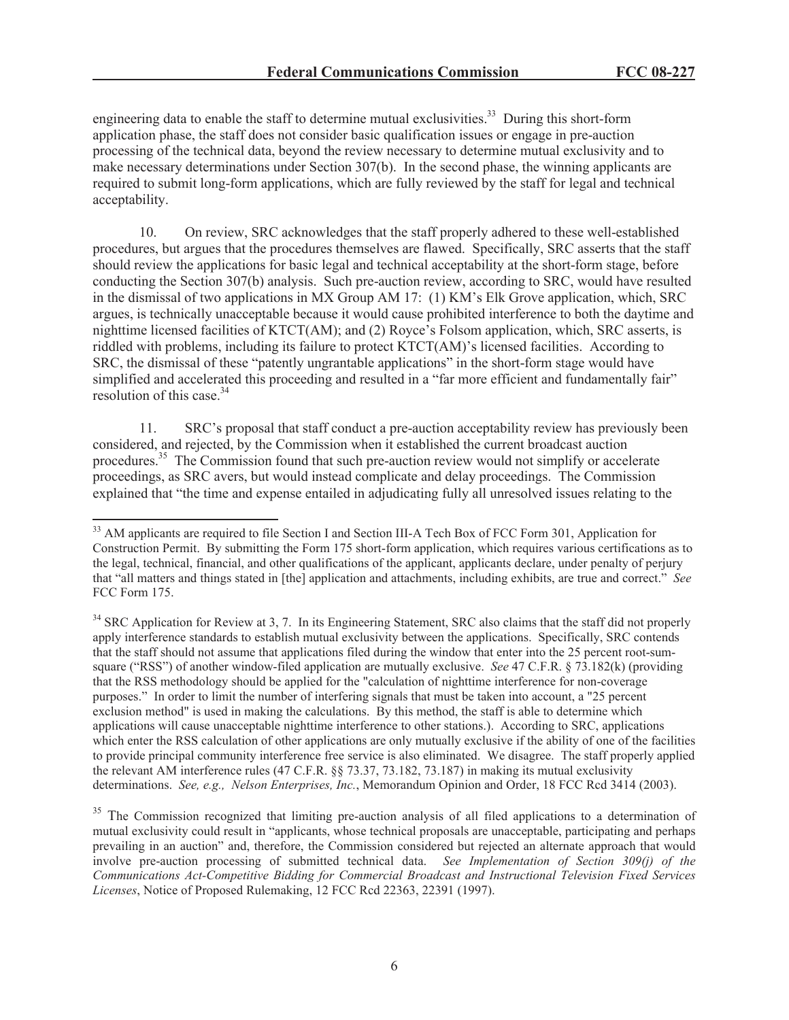engineering data to enable the staff to determine mutual exclusivities.<sup>33</sup> During this short-form application phase, the staff does not consider basic qualification issues or engage in pre-auction processing of the technical data, beyond the review necessary to determine mutual exclusivity and to make necessary determinations under Section 307(b). In the second phase, the winning applicants are required to submit long-form applications, which are fully reviewed by the staff for legal and technical acceptability.

10. On review, SRC acknowledges that the staff properly adhered to these well-established procedures, but argues that the procedures themselves are flawed. Specifically, SRC asserts that the staff should review the applications for basic legal and technical acceptability at the short-form stage, before conducting the Section 307(b) analysis. Such pre-auction review, according to SRC, would have resulted in the dismissal of two applications in MX Group AM 17: (1) KM's Elk Grove application, which, SRC argues, is technically unacceptable because it would cause prohibited interference to both the daytime and nighttime licensed facilities of KTCT(AM); and (2) Royce's Folsom application, which, SRC asserts, is riddled with problems, including its failure to protect KTCT(AM)'s licensed facilities. According to SRC, the dismissal of these "patently ungrantable applications" in the short-form stage would have simplified and accelerated this proceeding and resulted in a "far more efficient and fundamentally fair" resolution of this case.<sup>34</sup>

11. SRC's proposal that staff conduct a pre-auction acceptability review has previously been considered, and rejected, by the Commission when it established the current broadcast auction procedures.<sup>35</sup> The Commission found that such pre-auction review would not simplify or accelerate proceedings, as SRC avers, but would instead complicate and delay proceedings. The Commission explained that "the time and expense entailed in adjudicating fully all unresolved issues relating to the

<sup>&</sup>lt;sup>33</sup> AM applicants are required to file Section I and Section III-A Tech Box of FCC Form 301, Application for Construction Permit. By submitting the Form 175 short-form application, which requires various certifications as to the legal, technical, financial, and other qualifications of the applicant, applicants declare, under penalty of perjury that "all matters and things stated in [the] application and attachments, including exhibits, are true and correct." *See* FCC Form 175.

<sup>&</sup>lt;sup>34</sup> SRC Application for Review at 3, 7. In its Engineering Statement, SRC also claims that the staff did not properly apply interference standards to establish mutual exclusivity between the applications. Specifically, SRC contends that the staff should not assume that applications filed during the window that enter into the 25 percent root-sumsquare ("RSS") of another window-filed application are mutually exclusive. *See* 47 C.F.R. § 73.182(k) (providing that the RSS methodology should be applied for the "calculation of nighttime interference for non-coverage purposes." In order to limit the number of interfering signals that must be taken into account, a "25 percent exclusion method" is used in making the calculations. By this method, the staff is able to determine which applications will cause unacceptable nighttime interference to other stations.). According to SRC, applications which enter the RSS calculation of other applications are only mutually exclusive if the ability of one of the facilities to provide principal community interference free service is also eliminated. We disagree. The staff properly applied the relevant AM interference rules (47 C.F.R. §§ 73.37, 73.182, 73.187) in making its mutual exclusivity determinations. *See, e.g., Nelson Enterprises, Inc.*, Memorandum Opinion and Order, 18 FCC Rcd 3414 (2003).

<sup>&</sup>lt;sup>35</sup> The Commission recognized that limiting pre-auction analysis of all filed applications to a determination of mutual exclusivity could result in "applicants, whose technical proposals are unacceptable, participating and perhaps prevailing in an auction" and, therefore, the Commission considered but rejected an alternate approach that would involve pre-auction processing of submitted technical data. *See Implementation of Section 309(j) of the Communications Act-Competitive Bidding for Commercial Broadcast and Instructional Television Fixed Services Licenses*, Notice of Proposed Rulemaking, 12 FCC Rcd 22363, 22391 (1997).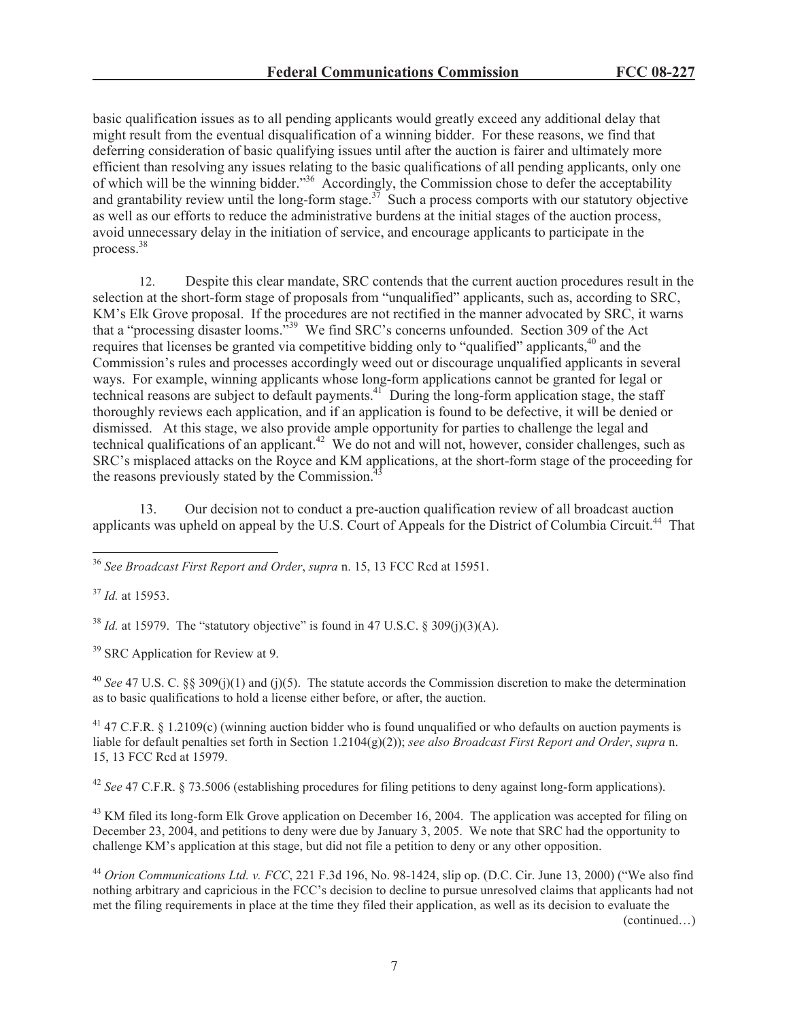basic qualification issues as to all pending applicants would greatly exceed any additional delay that might result from the eventual disqualification of a winning bidder. For these reasons, we find that deferring consideration of basic qualifying issues until after the auction is fairer and ultimately more efficient than resolving any issues relating to the basic qualifications of all pending applicants, only one of which will be the winning bidder."<sup>36</sup> Accordingly, the Commission chose to defer the acceptability and grantability review until the long-form stage.<sup>37</sup> Such a process comports with our statutory objective as well as our efforts to reduce the administrative burdens at the initial stages of the auction process, avoid unnecessary delay in the initiation of service, and encourage applicants to participate in the process.<sup>38</sup>

12. Despite this clear mandate, SRC contends that the current auction procedures result in the selection at the short-form stage of proposals from "unqualified" applicants, such as, according to SRC, KM's Elk Grove proposal. If the procedures are not rectified in the manner advocated by SRC, it warns that a "processing disaster looms."<sup>39</sup> We find SRC's concerns unfounded. Section 309 of the Act requires that licenses be granted via competitive bidding only to "qualified" applicants,<sup>40</sup> and the Commission's rules and processes accordingly weed out or discourage unqualified applicants in several ways. For example, winning applicants whose long-form applications cannot be granted for legal or technical reasons are subject to default payments.<sup>41</sup> During the long-form application stage, the staff thoroughly reviews each application, and if an application is found to be defective, it will be denied or dismissed. At this stage, we also provide ample opportunity for parties to challenge the legal and technical qualifications of an applicant.<sup>42</sup> We do not and will not, however, consider challenges, such as SRC's misplaced attacks on the Royce and KM applications, at the short-form stage of the proceeding for the reasons previously stated by the Commission. $\hat{a}$ 

13. Our decision not to conduct a pre-auction qualification review of all broadcast auction applicants was upheld on appeal by the U.S. Court of Appeals for the District of Columbia Circuit.<sup>44</sup> That

<sup>36</sup> *See Broadcast First Report and Order*, *supra* n. 15, 13 FCC Rcd at 15951.

<sup>37</sup> *Id.* at 15953.

 $^{38}$  *Id.* at 15979. The "statutory objective" is found in 47 U.S.C. § 309(j)(3)(A).

<sup>39</sup> SRC Application for Review at 9.

<sup>40</sup> *See* 47 U.S. C. §§ 309(j)(1) and (j)(5). The statute accords the Commission discretion to make the determination as to basic qualifications to hold a license either before, or after, the auction.

<sup>41</sup> 47 C.F.R. § 1.2109(c) (winning auction bidder who is found unqualified or who defaults on auction payments is liable for default penalties set forth in Section 1.2104(g)(2)); *see also Broadcast First Report and Order*, *supra* n. 15, 13 FCC Rcd at 15979.

<sup>42</sup> *See* 47 C.F.R. § 73.5006 (establishing procedures for filing petitions to deny against long-form applications).

<sup>43</sup> KM filed its long-form Elk Grove application on December 16, 2004. The application was accepted for filing on December 23, 2004, and petitions to deny were due by January 3, 2005. We note that SRC had the opportunity to challenge KM's application at this stage, but did not file a petition to deny or any other opposition.

<sup>44</sup> *Orion Communications Ltd. v. FCC*, 221 F.3d 196, No. 98-1424, slip op. (D.C. Cir. June 13, 2000) ("We also find nothing arbitrary and capricious in the FCC's decision to decline to pursue unresolved claims that applicants had not met the filing requirements in place at the time they filed their application, as well as its decision to evaluate the

(continued…)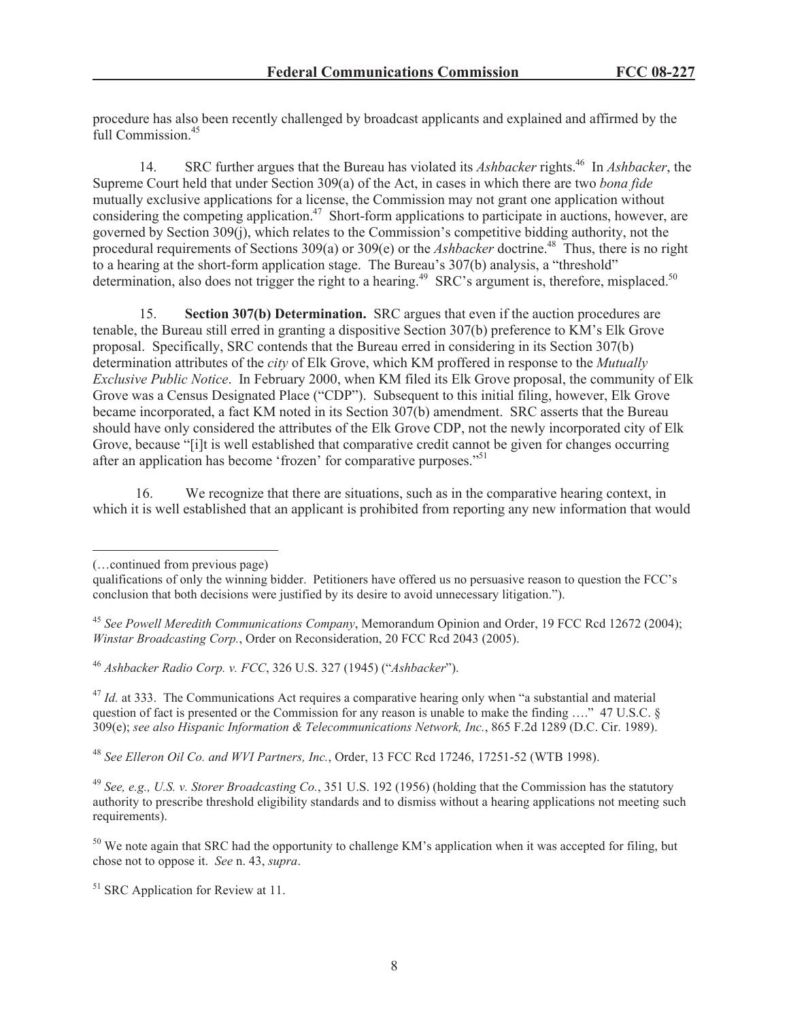procedure has also been recently challenged by broadcast applicants and explained and affirmed by the full Commission.<sup>45</sup>

14. SRC further argues that the Bureau has violated its *Ashbacker* rights.<sup>46</sup> In *Ashbacker*, the Supreme Court held that under Section 309(a) of the Act, in cases in which there are two *bona fide* mutually exclusive applications for a license, the Commission may not grant one application without considering the competing application.<sup>47</sup> Short-form applications to participate in auctions, however, are governed by Section 309(j), which relates to the Commission's competitive bidding authority, not the procedural requirements of Sections 309(a) or 309(e) or the *Ashbacker* doctrine.<sup>48</sup> Thus, there is no right to a hearing at the short-form application stage. The Bureau's 307(b) analysis, a "threshold" determination, also does not trigger the right to a hearing.<sup>49</sup> SRC's argument is, therefore, misplaced.<sup>50</sup>

15. **Section 307(b) Determination.** SRC argues that even if the auction procedures are tenable, the Bureau still erred in granting a dispositive Section 307(b) preference to KM's Elk Grove proposal. Specifically, SRC contends that the Bureau erred in considering in its Section 307(b) determination attributes of the *city* of Elk Grove, which KM proffered in response to the *Mutually Exclusive Public Notice*. In February 2000, when KM filed its Elk Grove proposal, the community of Elk Grove was a Census Designated Place ("CDP"). Subsequent to this initial filing, however, Elk Grove became incorporated, a fact KM noted in its Section 307(b) amendment. SRC asserts that the Bureau should have only considered the attributes of the Elk Grove CDP, not the newly incorporated city of Elk Grove, because "[i]t is well established that comparative credit cannot be given for changes occurring after an application has become 'frozen' for comparative purposes."<sup>51</sup>

16. We recognize that there are situations, such as in the comparative hearing context, in which it is well established that an applicant is prohibited from reporting any new information that would

<sup>46</sup> *Ashbacker Radio Corp. v. FCC*, 326 U.S. 327 (1945) ("*Ashbacker*").

<sup>47</sup> *Id.* at 333. The Communications Act requires a comparative hearing only when "a substantial and material question of fact is presented or the Commission for any reason is unable to make the finding …." 47 U.S.C. § 309(e); *see also Hispanic Information & Telecommunications Network, Inc.*, 865 F.2d 1289 (D.C. Cir. 1989).

<sup>48</sup> *See Elleron Oil Co. and WVI Partners, Inc.*, Order, 13 FCC Rcd 17246, 17251-52 (WTB 1998).

<sup>49</sup> *See, e.g., U.S. v. Storer Broadcasting Co.*, 351 U.S. 192 (1956) (holding that the Commission has the statutory authority to prescribe threshold eligibility standards and to dismiss without a hearing applications not meeting such requirements).

<sup>50</sup> We note again that SRC had the opportunity to challenge KM's application when it was accepted for filing, but chose not to oppose it. *See* n. 43, *supra*.

<sup>51</sup> SRC Application for Review at 11.

<sup>(…</sup>continued from previous page)

qualifications of only the winning bidder. Petitioners have offered us no persuasive reason to question the FCC's conclusion that both decisions were justified by its desire to avoid unnecessary litigation.").

<sup>45</sup> *See Powell Meredith Communications Company*, Memorandum Opinion and Order, 19 FCC Rcd 12672 (2004); *Winstar Broadcasting Corp.*, Order on Reconsideration, 20 FCC Rcd 2043 (2005).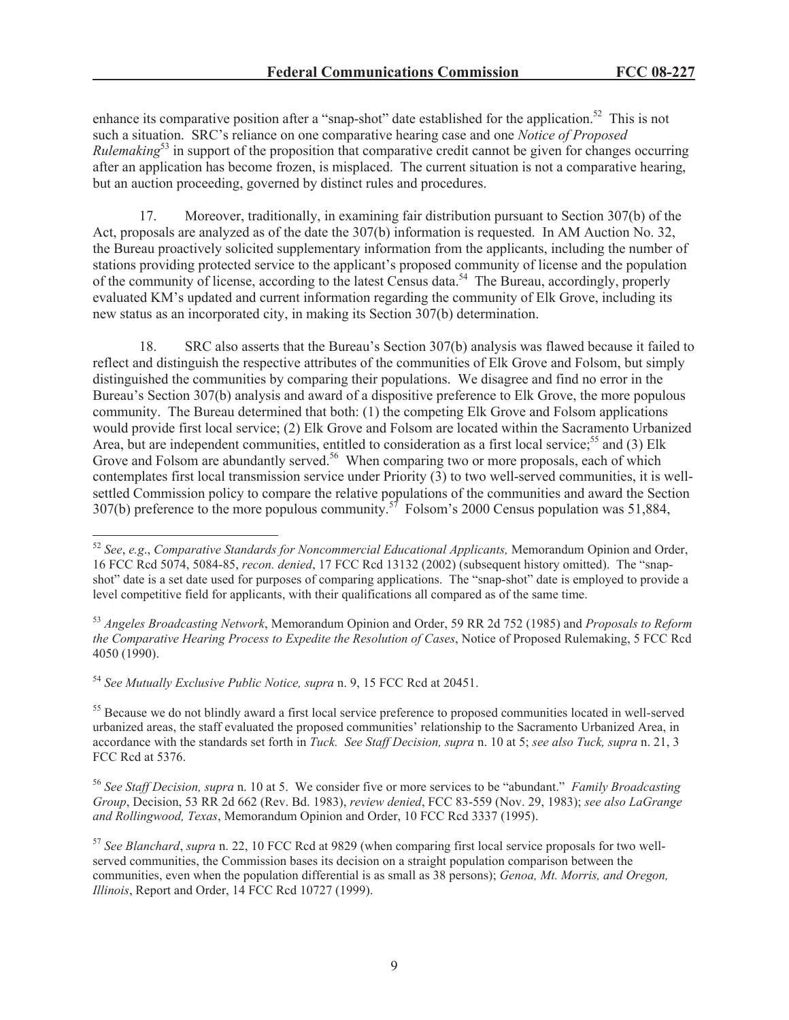enhance its comparative position after a "snap-shot" date established for the application.<sup>52</sup> This is not such a situation. SRC's reliance on one comparative hearing case and one *Notice of Proposed Rulemaking*<sup>53</sup> in support of the proposition that comparative credit cannot be given for changes occurring after an application has become frozen, is misplaced. The current situation is not a comparative hearing, but an auction proceeding, governed by distinct rules and procedures.

17. Moreover, traditionally, in examining fair distribution pursuant to Section 307(b) of the Act, proposals are analyzed as of the date the 307(b) information is requested. In AM Auction No. 32, the Bureau proactively solicited supplementary information from the applicants, including the number of stations providing protected service to the applicant's proposed community of license and the population of the community of license, according to the latest Census data.<sup>54</sup> The Bureau, accordingly, properly evaluated KM's updated and current information regarding the community of Elk Grove, including its new status as an incorporated city, in making its Section 307(b) determination.

18. SRC also asserts that the Bureau's Section 307(b) analysis was flawed because it failed to reflect and distinguish the respective attributes of the communities of Elk Grove and Folsom, but simply distinguished the communities by comparing their populations. We disagree and find no error in the Bureau's Section 307(b) analysis and award of a dispositive preference to Elk Grove, the more populous community. The Bureau determined that both: (1) the competing Elk Grove and Folsom applications would provide first local service; (2) Elk Grove and Folsom are located within the Sacramento Urbanized Area, but are independent communities, entitled to consideration as a first local service;<sup>55</sup> and (3) Elk Grove and Folsom are abundantly served.<sup>56</sup> When comparing two or more proposals, each of which contemplates first local transmission service under Priority (3) to two well-served communities, it is wellsettled Commission policy to compare the relative populations of the communities and award the Section 307(b) preference to the more populous community.<sup>57</sup> Folsom's 2000 Census population was 51,884,

<sup>54</sup> *See Mutually Exclusive Public Notice, supra* n. 9, 15 FCC Rcd at 20451.

<sup>55</sup> Because we do not blindly award a first local service preference to proposed communities located in well-served urbanized areas, the staff evaluated the proposed communities' relationship to the Sacramento Urbanized Area, in accordance with the standards set forth in *Tuck. See Staff Decision, supra* n. 10 at 5; *see also Tuck, supra* n. 21, 3 FCC Rcd at 5376.

<sup>56</sup> *See Staff Decision, supra* n. 10 at 5. We consider five or more services to be "abundant." *Family Broadcasting Group*, Decision, 53 RR 2d 662 (Rev. Bd. 1983), *review denied*, FCC 83-559 (Nov. 29, 1983); *see also LaGrange and Rollingwood, Texas*, Memorandum Opinion and Order, 10 FCC Rcd 3337 (1995).

<sup>57</sup> *See Blanchard*, *supra* n. 22, 10 FCC Rcd at 9829 (when comparing first local service proposals for two wellserved communities, the Commission bases its decision on a straight population comparison between the communities, even when the population differential is as small as 38 persons); *Genoa, Mt. Morris, and Oregon, Illinois*, Report and Order, 14 FCC Rcd 10727 (1999).

<sup>52</sup> *See*, *e.g*., *Comparative Standards for Noncommercial Educational Applicants,* Memorandum Opinion and Order, 16 FCC Rcd 5074, 5084-85, *recon. denied*, 17 FCC Rcd 13132 (2002) (subsequent history omitted). The "snapshot" date is a set date used for purposes of comparing applications. The "snap-shot" date is employed to provide a level competitive field for applicants, with their qualifications all compared as of the same time.

<sup>53</sup> *Angeles Broadcasting Network*, Memorandum Opinion and Order, 59 RR 2d 752 (1985) and *Proposals to Reform the Comparative Hearing Process to Expedite the Resolution of Cases*, Notice of Proposed Rulemaking, 5 FCC Rcd 4050 (1990).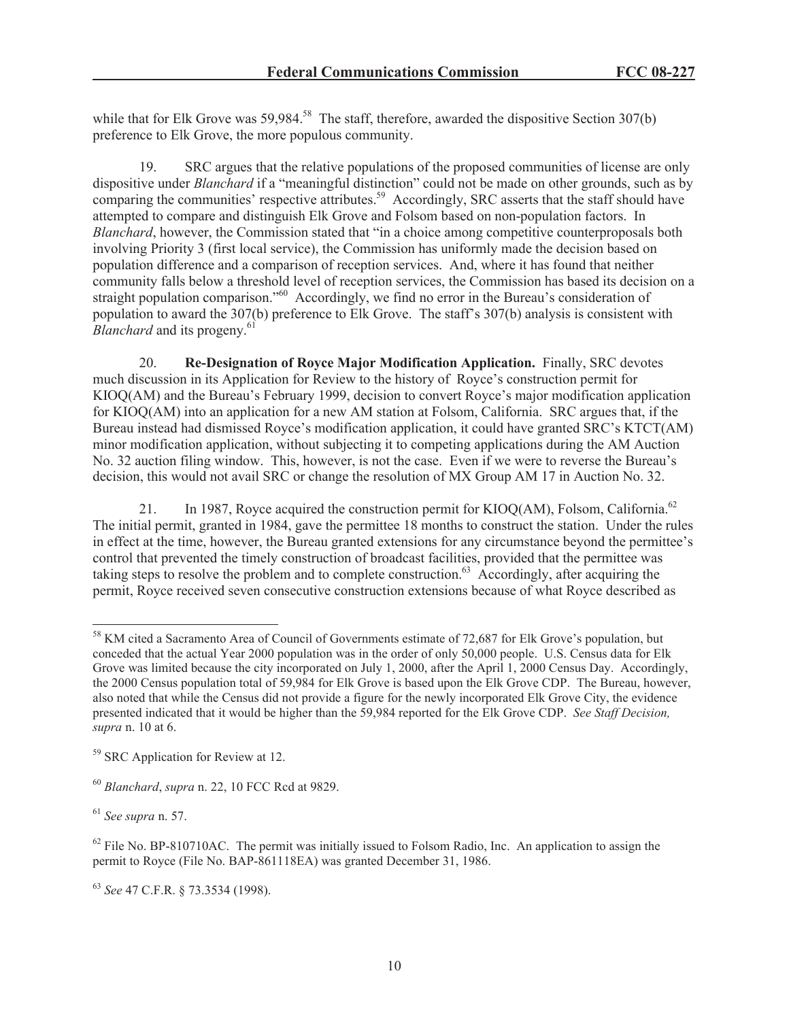while that for Elk Grove was  $59,984$ <sup>58</sup>. The staff, therefore, awarded the dispositive Section 307(b) preference to Elk Grove, the more populous community.

19. SRC argues that the relative populations of the proposed communities of license are only dispositive under *Blanchard* if a "meaningful distinction" could not be made on other grounds, such as by comparing the communities' respective attributes.<sup>59</sup> Accordingly, SRC asserts that the staff should have attempted to compare and distinguish Elk Grove and Folsom based on non-population factors. In *Blanchard*, however, the Commission stated that "in a choice among competitive counterproposals both involving Priority 3 (first local service), the Commission has uniformly made the decision based on population difference and a comparison of reception services. And, where it has found that neither community falls below a threshold level of reception services, the Commission has based its decision on a straight population comparison."<sup>60</sup> Accordingly, we find no error in the Bureau's consideration of population to award the 307(b) preference to Elk Grove. The staff's 307(b) analysis is consistent with *Blanchard* and its progeny.<sup>61</sup>

20. **Re-Designation of Royce Major Modification Application.** Finally, SRC devotes much discussion in its Application for Review to the history of Royce's construction permit for KIOQ(AM) and the Bureau's February 1999, decision to convert Royce's major modification application for KIOQ(AM) into an application for a new AM station at Folsom, California. SRC argues that, if the Bureau instead had dismissed Royce's modification application, it could have granted SRC's KTCT(AM) minor modification application, without subjecting it to competing applications during the AM Auction No. 32 auction filing window. This, however, is not the case. Even if we were to reverse the Bureau's decision, this would not avail SRC or change the resolution of MX Group AM 17 in Auction No. 32.

21. In 1987, Royce acquired the construction permit for KIOQ(AM), Folsom, California.<sup>62</sup> The initial permit, granted in 1984, gave the permittee 18 months to construct the station. Under the rules in effect at the time, however, the Bureau granted extensions for any circumstance beyond the permittee's control that prevented the timely construction of broadcast facilities, provided that the permittee was taking steps to resolve the problem and to complete construction.<sup>63</sup> Accordingly, after acquiring the permit, Royce received seven consecutive construction extensions because of what Royce described as

<sup>&</sup>lt;sup>58</sup> KM cited a Sacramento Area of Council of Governments estimate of 72,687 for Elk Grove's population, but conceded that the actual Year 2000 population was in the order of only 50,000 people. U.S. Census data for Elk Grove was limited because the city incorporated on July 1, 2000, after the April 1, 2000 Census Day. Accordingly, the 2000 Census population total of 59,984 for Elk Grove is based upon the Elk Grove CDP. The Bureau, however, also noted that while the Census did not provide a figure for the newly incorporated Elk Grove City, the evidence presented indicated that it would be higher than the 59,984 reported for the Elk Grove CDP. *See Staff Decision, supra* n. 10 at 6.

<sup>59</sup> SRC Application for Review at 12.

<sup>60</sup> *Blanchard*, *supra* n. 22, 10 FCC Rcd at 9829.

<sup>61</sup> *See supra* n. 57.

 $62$  File No. BP-810710AC. The permit was initially issued to Folsom Radio, Inc. An application to assign the permit to Royce (File No. BAP-861118EA) was granted December 31, 1986.

<sup>63</sup> *See* 47 C.F.R. § 73.3534 (1998).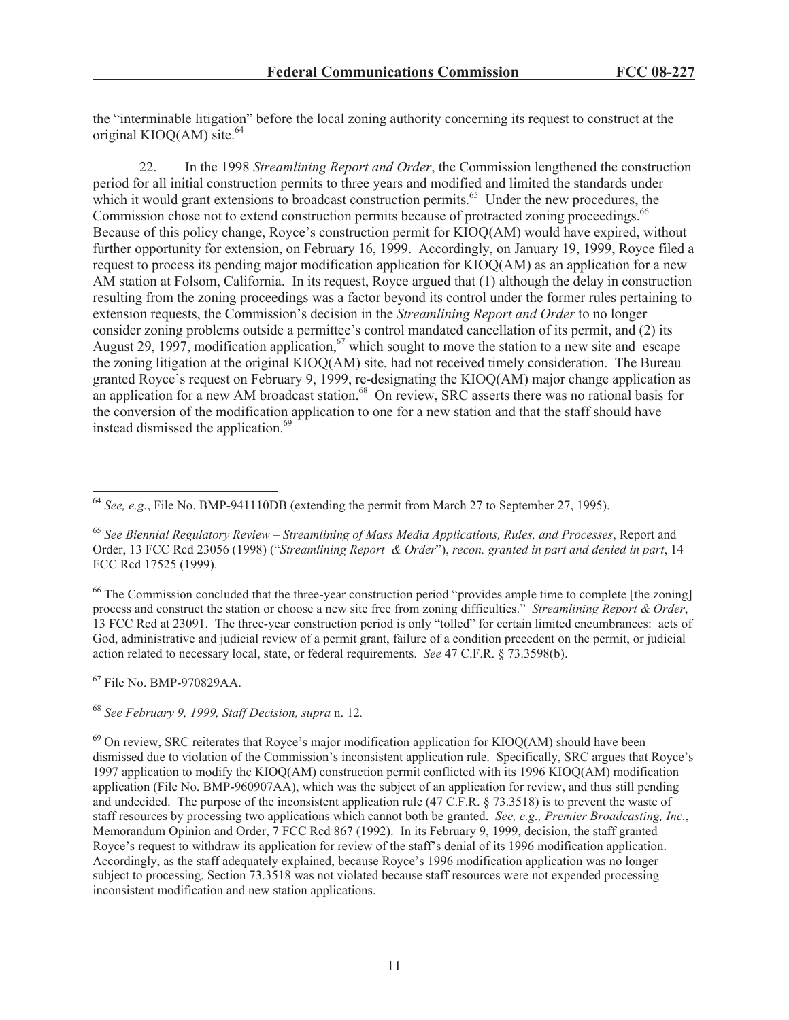the "interminable litigation" before the local zoning authority concerning its request to construct at the original KIOQ(AM) site. $64$ 

22. In the 1998 *Streamlining Report and Order*, the Commission lengthened the construction period for all initial construction permits to three years and modified and limited the standards under which it would grant extensions to broadcast construction permits.<sup>65</sup> Under the new procedures, the Commission chose not to extend construction permits because of protracted zoning proceedings.<sup>66</sup> Because of this policy change, Royce's construction permit for KIOQ(AM) would have expired, without further opportunity for extension, on February 16, 1999. Accordingly, on January 19, 1999, Royce filed a request to process its pending major modification application for KIOQ(AM) as an application for a new AM station at Folsom, California. In its request, Royce argued that (1) although the delay in construction resulting from the zoning proceedings was a factor beyond its control under the former rules pertaining to extension requests, the Commission's decision in the *Streamlining Report and Order* to no longer consider zoning problems outside a permittee's control mandated cancellation of its permit, and (2) its August 29, 1997, modification application,<sup>67</sup> which sought to move the station to a new site and escape the zoning litigation at the original KIOQ(AM) site, had not received timely consideration. The Bureau granted Royce's request on February 9, 1999, re-designating the KIOQ(AM) major change application as an application for a new AM broadcast station.<sup>68</sup> On review, SRC asserts there was no rational basis for the conversion of the modification application to one for a new station and that the staff should have instead dismissed the application.<sup>69</sup>

<sup>66</sup> The Commission concluded that the three-year construction period "provides ample time to complete [the zoning] process and construct the station or choose a new site free from zoning difficulties." *Streamlining Report & Order*, 13 FCC Rcd at 23091. The three-year construction period is only "tolled" for certain limited encumbrances: acts of God, administrative and judicial review of a permit grant, failure of a condition precedent on the permit, or judicial action related to necessary local, state, or federal requirements. *See* 47 C.F.R. § 73.3598(b).

<sup>67</sup> File No. BMP-970829AA.

<sup>68</sup> *See February 9, 1999, Staff Decision, supra* n. 12*.*

<sup>64</sup> *See, e.g.*, File No. BMP-941110DB (extending the permit from March 27 to September 27, 1995).

<sup>65</sup> *See Biennial Regulatory Review – Streamlining of Mass Media Applications, Rules, and Processes*, Report and Order, 13 FCC Rcd 23056 (1998) ("*Streamlining Report & Order*"), *recon. granted in part and denied in part*, 14 FCC Rcd 17525 (1999).

 $^{69}$  On review, SRC reiterates that Royce's major modification application for KIOQ(AM) should have been dismissed due to violation of the Commission's inconsistent application rule. Specifically, SRC argues that Royce's 1997 application to modify the KIOQ(AM) construction permit conflicted with its 1996 KIOQ(AM) modification application (File No. BMP-960907AA), which was the subject of an application for review, and thus still pending and undecided. The purpose of the inconsistent application rule (47 C.F.R. § 73.3518) is to prevent the waste of staff resources by processing two applications which cannot both be granted. *See, e.g., Premier Broadcasting, Inc.*, Memorandum Opinion and Order, 7 FCC Rcd 867 (1992). In its February 9, 1999, decision, the staff granted Royce's request to withdraw its application for review of the staff's denial of its 1996 modification application. Accordingly, as the staff adequately explained, because Royce's 1996 modification application was no longer subject to processing, Section 73.3518 was not violated because staff resources were not expended processing inconsistent modification and new station applications.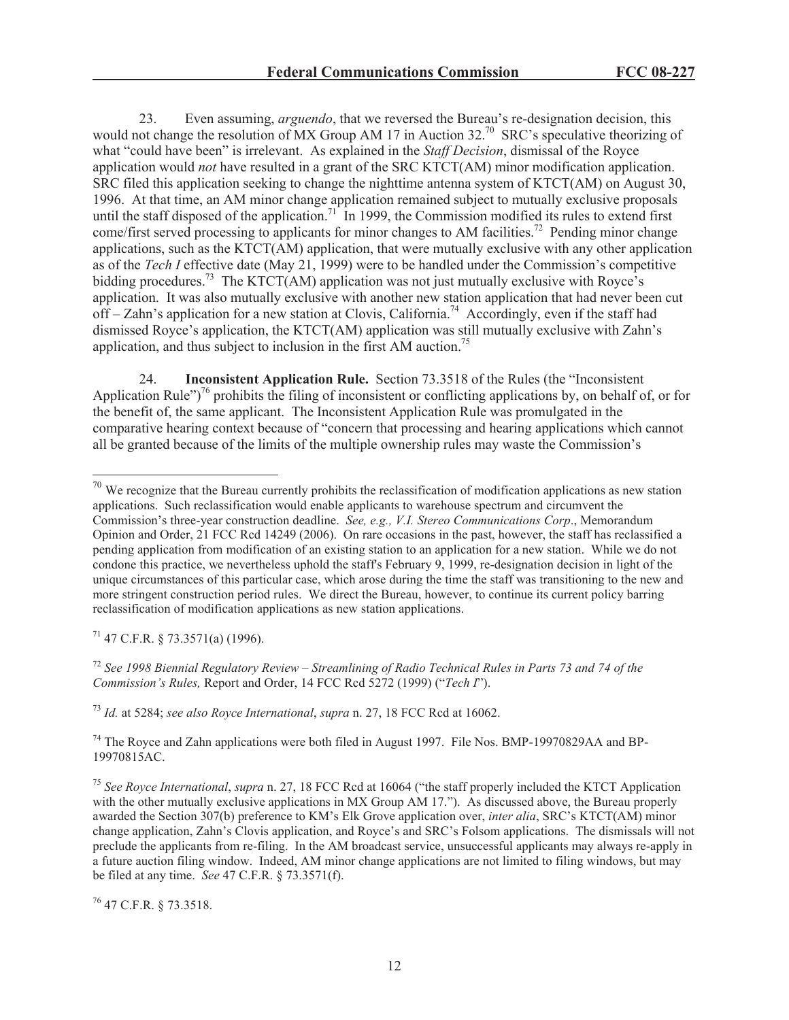23. Even assuming, *arguendo*, that we reversed the Bureau's re-designation decision, this would not change the resolution of MX Group AM 17 in Auction 32.<sup>70</sup> SRC's speculative theorizing of what "could have been" is irrelevant. As explained in the *Staff Decision*, dismissal of the Royce application would *not* have resulted in a grant of the SRC KTCT(AM) minor modification application. SRC filed this application seeking to change the nighttime antenna system of KTCT(AM) on August 30, 1996. At that time, an AM minor change application remained subject to mutually exclusive proposals until the staff disposed of the application.<sup>71</sup> In 1999, the Commission modified its rules to extend first come/first served processing to applicants for minor changes to AM facilities.<sup>72</sup> Pending minor change applications, such as the KTCT(AM) application, that were mutually exclusive with any other application as of the *Tech I* effective date (May 21, 1999) were to be handled under the Commission's competitive bidding procedures.<sup>73</sup> The KTCT(AM) application was not just mutually exclusive with Royce's application. It was also mutually exclusive with another new station application that had never been cut off – Zahn's application for a new station at Clovis, California.<sup>74</sup> Accordingly, even if the staff had dismissed Royce's application, the KTCT(AM) application was still mutually exclusive with Zahn's application, and thus subject to inclusion in the first AM auction.<sup>75</sup>

24. **Inconsistent Application Rule.** Section 73.3518 of the Rules (the "Inconsistent Application Rule")<sup>76</sup> prohibits the filing of inconsistent or conflicting applications by, on behalf of, or for the benefit of, the same applicant. The Inconsistent Application Rule was promulgated in the comparative hearing context because of "concern that processing and hearing applications which cannot all be granted because of the limits of the multiple ownership rules may waste the Commission's

 $71$  47 C.F.R. § 73.3571(a) (1996).

<sup>72</sup> *See 1998 Biennial Regulatory Review – Streamlining of Radio Technical Rules in Parts 73 and 74 of the Commission's Rules,* Report and Order, 14 FCC Rcd 5272 (1999) ("*Tech I*").

<sup>73</sup> *Id.* at 5284; *see also Royce International*, *supra* n. 27, 18 FCC Rcd at 16062.

<sup>74</sup> The Royce and Zahn applications were both filed in August 1997. File Nos. BMP-19970829AA and BP-19970815AC.

 $70$  We recognize that the Bureau currently prohibits the reclassification of modification applications as new station applications. Such reclassification would enable applicants to warehouse spectrum and circumvent the Commission's three-year construction deadline. *See, e.g., V.I. Stereo Communications Corp*., Memorandum Opinion and Order, 21 FCC Rcd 14249 (2006). On rare occasions in the past, however, the staff has reclassified a pending application from modification of an existing station to an application for a new station. While we do not condone this practice, we nevertheless uphold the staff's February 9, 1999, re-designation decision in light of the unique circumstances of this particular case, which arose during the time the staff was transitioning to the new and more stringent construction period rules. We direct the Bureau, however, to continue its current policy barring reclassification of modification applications as new station applications.

<sup>75</sup> *See Royce International*, *supra* n. 27, 18 FCC Rcd at 16064 ("the staff properly included the KTCT Application with the other mutually exclusive applications in MX Group AM 17."). As discussed above, the Bureau properly awarded the Section 307(b) preference to KM's Elk Grove application over, *inter alia*, SRC's KTCT(AM) minor change application, Zahn's Clovis application, and Royce's and SRC's Folsom applications. The dismissals will not preclude the applicants from re-filing. In the AM broadcast service, unsuccessful applicants may always re-apply in a future auction filing window. Indeed, AM minor change applications are not limited to filing windows, but may be filed at any time. *See* 47 C.F.R. § 73.3571(f).

<sup>76</sup> 47 C.F.R. § 73.3518.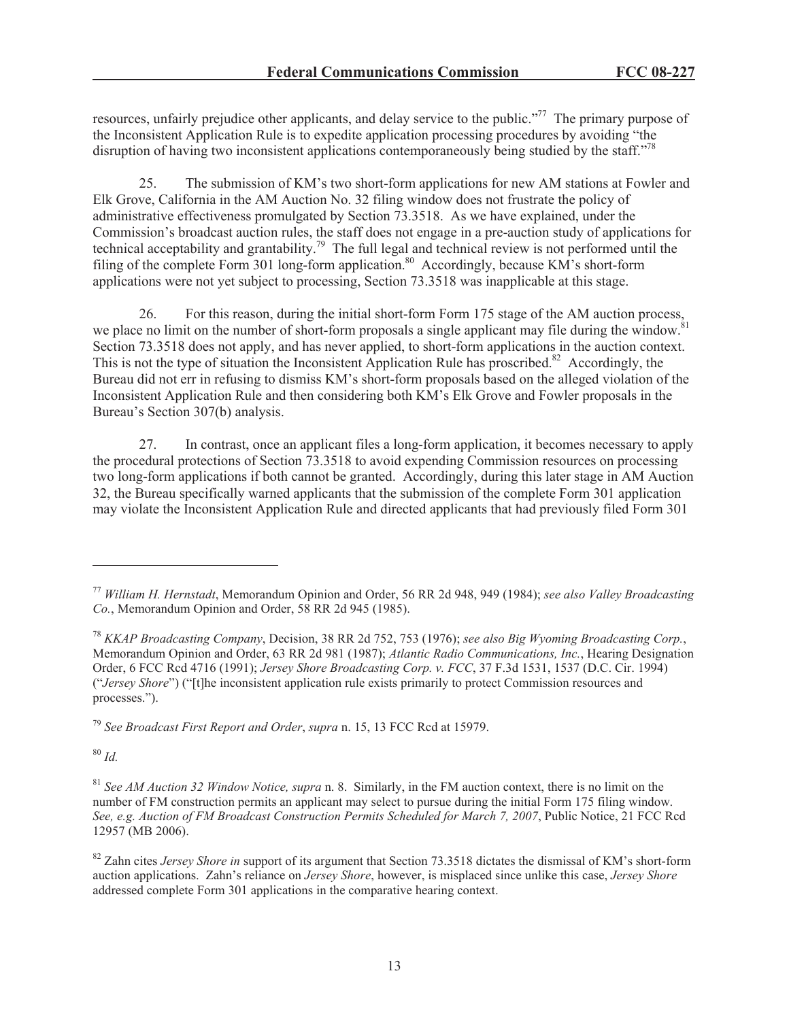resources, unfairly prejudice other applicants, and delay service to the public."<sup>77</sup> The primary purpose of the Inconsistent Application Rule is to expedite application processing procedures by avoiding "the disruption of having two inconsistent applications contemporaneously being studied by the staff."<sup>78</sup>

25. The submission of KM's two short-form applications for new AM stations at Fowler and Elk Grove, California in the AM Auction No. 32 filing window does not frustrate the policy of administrative effectiveness promulgated by Section 73.3518. As we have explained, under the Commission's broadcast auction rules, the staff does not engage in a pre-auction study of applications for technical acceptability and grantability.<sup>79</sup> The full legal and technical review is not performed until the filing of the complete Form 301 long-form application.<sup>80</sup> Accordingly, because KM's short-form applications were not yet subject to processing, Section 73.3518 was inapplicable at this stage.

26. For this reason, during the initial short-form Form 175 stage of the AM auction process, we place no limit on the number of short-form proposals a single applicant may file during the window.<sup>81</sup> Section 73.3518 does not apply, and has never applied, to short-form applications in the auction context. This is not the type of situation the Inconsistent Application Rule has proscribed.<sup>82</sup> Accordingly, the Bureau did not err in refusing to dismiss KM's short-form proposals based on the alleged violation of the Inconsistent Application Rule and then considering both KM's Elk Grove and Fowler proposals in the Bureau's Section 307(b) analysis.

27. In contrast, once an applicant files a long-form application, it becomes necessary to apply the procedural protections of Section 73.3518 to avoid expending Commission resources on processing two long-form applications if both cannot be granted. Accordingly, during this later stage in AM Auction 32, the Bureau specifically warned applicants that the submission of the complete Form 301 application may violate the Inconsistent Application Rule and directed applicants that had previously filed Form 301

<sup>79</sup> *See Broadcast First Report and Order*, *supra* n. 15, 13 FCC Rcd at 15979.

<sup>80</sup> *Id.*

<sup>77</sup> *William H. Hernstadt*, Memorandum Opinion and Order, 56 RR 2d 948, 949 (1984); *see also Valley Broadcasting Co.*, Memorandum Opinion and Order, 58 RR 2d 945 (1985).

<sup>78</sup> *KKAP Broadcasting Company*, Decision, 38 RR 2d 752, 753 (1976); *see also Big Wyoming Broadcasting Corp.*, Memorandum Opinion and Order, 63 RR 2d 981 (1987); *Atlantic Radio Communications, Inc.*, Hearing Designation Order, 6 FCC Rcd 4716 (1991); *Jersey Shore Broadcasting Corp. v. FCC*, 37 F.3d 1531, 1537 (D.C. Cir. 1994) ("*Jersey Shore*") ("[t]he inconsistent application rule exists primarily to protect Commission resources and processes.").

<sup>81</sup> *See AM Auction 32 Window Notice, supra* n. 8. Similarly, in the FM auction context, there is no limit on the number of FM construction permits an applicant may select to pursue during the initial Form 175 filing window. *See, e.g. Auction of FM Broadcast Construction Permits Scheduled for March 7, 2007*, Public Notice, 21 FCC Rcd 12957 (MB 2006).

<sup>&</sup>lt;sup>82</sup> Zahn cites *Jersey Shore in* support of its argument that Section 73.3518 dictates the dismissal of KM's short-form auction applications. Zahn's reliance on *Jersey Shore*, however, is misplaced since unlike this case, *Jersey Shore*  addressed complete Form 301 applications in the comparative hearing context.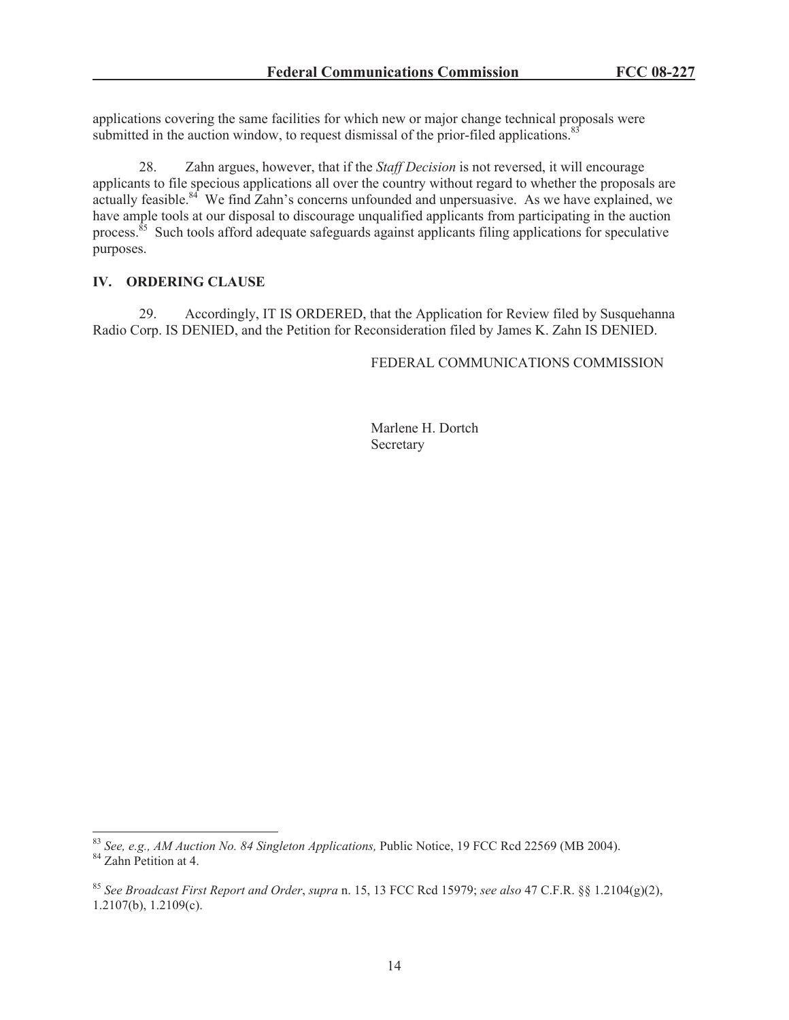applications covering the same facilities for which new or major change technical proposals were submitted in the auction window, to request dismissal of the prior-filed applications.<sup>83</sup>

28. Zahn argues, however, that if the *Staff Decision* is not reversed, it will encourage applicants to file specious applications all over the country without regard to whether the proposals are actually feasible.<sup>84</sup> We find Zahn's concerns unfounded and unpersuasive. As we have explained, we have ample tools at our disposal to discourage unqualified applicants from participating in the auction process.<sup>85</sup> Such tools afford adequate safeguards against applicants filing applications for speculative purposes.

### **IV. ORDERING CLAUSE**

29. Accordingly, IT IS ORDERED, that the Application for Review filed by Susquehanna Radio Corp. IS DENIED, and the Petition for Reconsideration filed by James K. Zahn IS DENIED.

FEDERAL COMMUNICATIONS COMMISSION

Marlene H. Dortch Secretary

<sup>83</sup> *See, e.g., AM Auction No. 84 Singleton Applications,* Public Notice, 19 FCC Rcd 22569 (MB 2004). <sup>84</sup> Zahn Petition at 4.

<sup>85</sup> *See Broadcast First Report and Order*, *supra* n. 15, 13 FCC Rcd 15979; *see also* 47 C.F.R. §§ 1.2104(g)(2), 1.2107(b), 1.2109(c).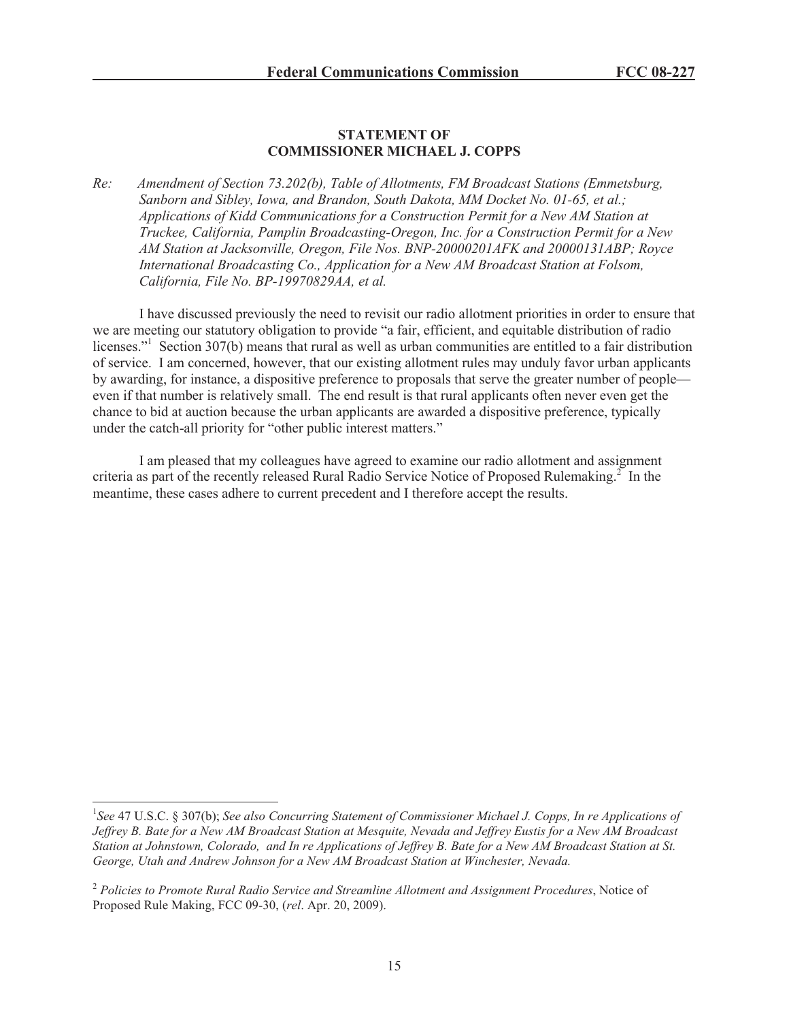### **STATEMENT OF COMMISSIONER MICHAEL J. COPPS**

*Re: Amendment of Section 73.202(b), Table of Allotments, FM Broadcast Stations (Emmetsburg, Sanborn and Sibley, Iowa, and Brandon, South Dakota, MM Docket No. 01-65, et al.; Applications of Kidd Communications for a Construction Permit for a New AM Station at Truckee, California, Pamplin Broadcasting-Oregon, Inc. for a Construction Permit for a New AM Station at Jacksonville, Oregon, File Nos. BNP-20000201AFK and 20000131ABP; Royce International Broadcasting Co., Application for a New AM Broadcast Station at Folsom, California, File No. BP-19970829AA, et al.*

I have discussed previously the need to revisit our radio allotment priorities in order to ensure that we are meeting our statutory obligation to provide "a fair, efficient, and equitable distribution of radio licenses."<sup>1</sup> Section 307(b) means that rural as well as urban communities are entitled to a fair distribution of service. I am concerned, however, that our existing allotment rules may unduly favor urban applicants by awarding, for instance, a dispositive preference to proposals that serve the greater number of people even if that number is relatively small. The end result is that rural applicants often never even get the chance to bid at auction because the urban applicants are awarded a dispositive preference, typically under the catch-all priority for "other public interest matters."

I am pleased that my colleagues have agreed to examine our radio allotment and assignment criteria as part of the recently released Rural Radio Service Notice of Proposed Rulemaking.<sup>2</sup> In the meantime, these cases adhere to current precedent and I therefore accept the results.

<sup>1</sup> *See* 47 U.S.C. § 307(b); *See also Concurring Statement of Commissioner Michael J. Copps, In re Applications of Jeffrey B. Bate for a New AM Broadcast Station at Mesquite, Nevada and Jeffrey Eustis for a New AM Broadcast Station at Johnstown, Colorado, and In re Applications of Jeffrey B. Bate for a New AM Broadcast Station at St. George, Utah and Andrew Johnson for a New AM Broadcast Station at Winchester, Nevada.*

<sup>2</sup> *Policies to Promote Rural Radio Service and Streamline Allotment and Assignment Procedures*, Notice of Proposed Rule Making, FCC 09-30, (*rel*. Apr. 20, 2009).